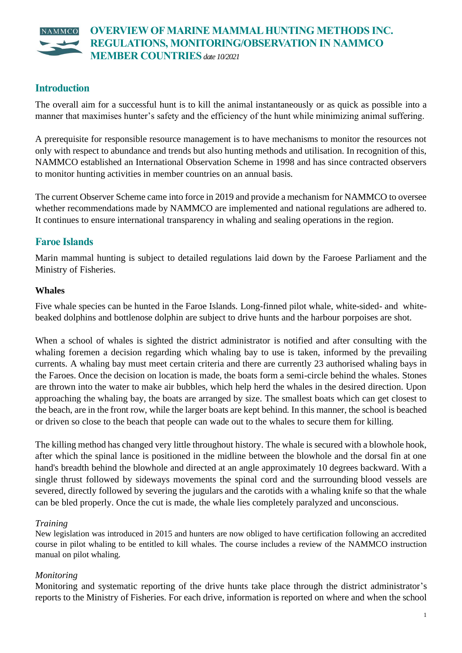#### **OVERVIEW OF MARINE MAMMAL HUNTING METHODS INC.**   $NAMMCC$ **REGULATIONS, MONITORING/OBSERVATION IN NAMMCO MEMBER COUNTRIES***date 10/2021*

# **Introduction**

The overall aim for a successful hunt is to kill the animal instantaneously or as quick as possible into a manner that maximises hunter's safety and the efficiency of the hunt while minimizing animal suffering.

A prerequisite for responsible resource management is to have mechanisms to monitor the resources not only with respect to abundance and trends but also hunting methods and utilisation. In recognition of this, NAMMCO established an International Observation Scheme in 1998 and has since contracted observers to monitor hunting activities in member countries on an annual basis.

The current Observer Scheme came into force in 2019 and provide a mechanism for NAMMCO to oversee whether recommendations made by NAMMCO are implemented and national regulations are adhered to. It continues to ensure international transparency in whaling and sealing operations in the region.

# **Faroe Islands**

Marin mammal hunting is subject to detailed regulations laid down by the Faroese Parliament and the Ministry of Fisheries.

#### **Whales**

Five whale species can be hunted in the Faroe Islands. Long-finned pilot whale, white-sided- and whitebeaked dolphins and bottlenose dolphin are subject to drive hunts and the harbour porpoises are shot.

When a school of whales is sighted the district administrator is notified and after consulting with the whaling foremen a decision regarding which whaling bay to use is taken, informed by the prevailing currents. A whaling bay must meet certain criteria and there are currently 23 authorised whaling bays in the Faroes. Once the decision on location is made, the boats form a semi-circle behind the whales. Stones are thrown into the water to make air bubbles, which help herd the whales in the desired direction. Upon approaching the whaling bay, the boats are arranged by size. The smallest boats which can get closest to the beach, are in the front row, while the larger boats are kept behind. In this manner, the school is beached or driven so close to the beach that people can wade out to the whales to secure them for killing.

The killing method has changed very little throughout history. The whale is secured with a blowhole hook, after which the spinal lance is positioned in the midline between the blowhole and the dorsal fin at one hand's breadth behind the blowhole and directed at an angle approximately 10 degrees backward. With a single thrust followed by sideways movements the spinal cord and the surrounding blood vessels are severed, directly followed by severing the jugulars and the carotids with a whaling knife so that the whale can be bled properly. Once the cut is made, the whale lies completely paralyzed and unconscious.

### *Training*

New legislation was introduced in 2015 and hunters are now obliged to have certification following an accredited course in pilot whaling to be entitled to kill whales. The course includes a review of the NAMMCO instruction manual on pilot whaling.

### *Monitoring*

Monitoring and systematic reporting of the drive hunts take place through the district administrator's reports to the Ministry of Fisheries. For each drive, information is reported on where and when the school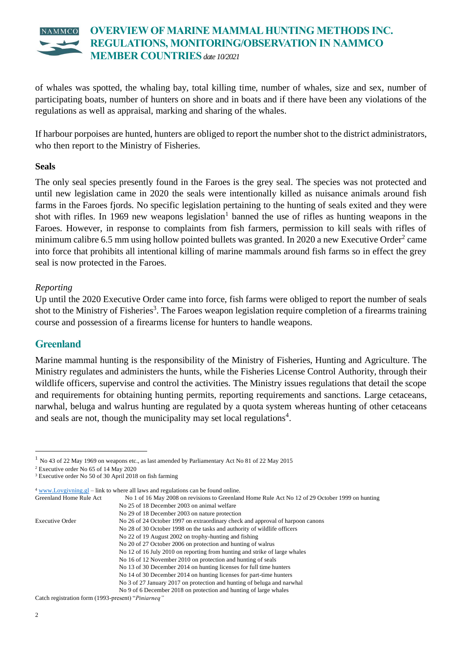

of whales was spotted, the whaling bay, total killing time, number of whales, size and sex, number of participating boats, number of hunters on shore and in boats and if there have been any violations of the regulations as well as appraisal, marking and sharing of the whales.

If harbour porpoises are hunted, hunters are obliged to report the number shot to the district administrators, who then report to the Ministry of Fisheries.

#### **Seals**

The only seal species presently found in the Faroes is the grey seal. The species was not protected and until new legislation came in 2020 the seals were intentionally killed as nuisance animals around fish farms in the Faroes fjords. No specific legislation pertaining to the hunting of seals exited and they were shot with rifles. In 1969 new weapons legislation<sup>1</sup> banned the use of rifles as hunting weapons in the Faroes. However, in response to complaints from fish farmers, permission to kill seals with rifles of minimum calibre 6.5 mm using hollow pointed bullets was granted. In 2020 a new Executive Order<sup>2</sup> came into force that prohibits all intentional killing of marine mammals around fish farms so in effect the grey seal is now protected in the Faroes.

#### *Reporting*

Up until the 2020 Executive Order came into force, fish farms were obliged to report the number of seals shot to the Ministry of Fisheries<sup>3</sup>. The Faroes weapon legislation require completion of a firearms training course and possession of a firearms license for hunters to handle weapons.

### **Greenland**

Marine mammal hunting is the responsibility of the Ministry of Fisheries, Hunting and Agriculture. The Ministry regulates and administers the hunts, while the Fisheries License Control Authority, through their wildlife officers, supervise and control the activities. The Ministry issues regulations that detail the scope and requirements for obtaining hunting permits, reporting requirements and sanctions. Large cetaceans, narwhal, beluga and walrus hunting are regulated by a quota system whereas hunting of other cetaceans and seals are not, though the municipality may set local regulations<sup>4</sup>.

 $4 \frac{\text{www.Lovgivning}}{g}$  – link to where all laws and regulations can be found online.

| Greenland Home Rule Act | No 1 of 16 May 2008 on revisions to Greenland Home Rule Act No 12 of 29 October 1999 on hunting |
|-------------------------|-------------------------------------------------------------------------------------------------|
|                         | No 25 of 18 December 2003 on animal welfare                                                     |
|                         | No 29 of 18 December 2003 on nature protection                                                  |
| Executive Order         | No 26 of 24 October 1997 on extraordinary check and approval of harpoon canons                  |
|                         | No 28 of 30 October 1998 on the tasks and authority of wildlife officers                        |
|                         | No 22 of 19 August 2002 on trophy-hunting and fishing                                           |
|                         | No 20 of 27 October 2006 on protection and hunting of walrus                                    |
|                         | No 12 of 16 July 2010 on reporting from hunting and strike of large whales                      |
|                         | No 16 of 12 November 2010 on protection and hunting of seals                                    |
|                         | No 13 of 30 December 2014 on hunting licenses for full time hunters                             |
|                         | No 14 of 30 December 2014 on hunting licenses for part-time hunters                             |
|                         |                                                                                                 |

No 3 of 27 January 2017 on protection and hunting of beluga and narwhal

Catch registration form (1993-present) "*Piniarneq"*

<sup>1</sup> No 43 of 22 May 1969 on weapons etc., as last amended by Parliamentary Act No 81 of 22 May 2015

<sup>2</sup> Executive order No 65 of 14 May 2020

<sup>3</sup> Executive order No 50 of 30 April 2018 on fish farming

No 9 of 6 December 2018 on protection and hunting of large whales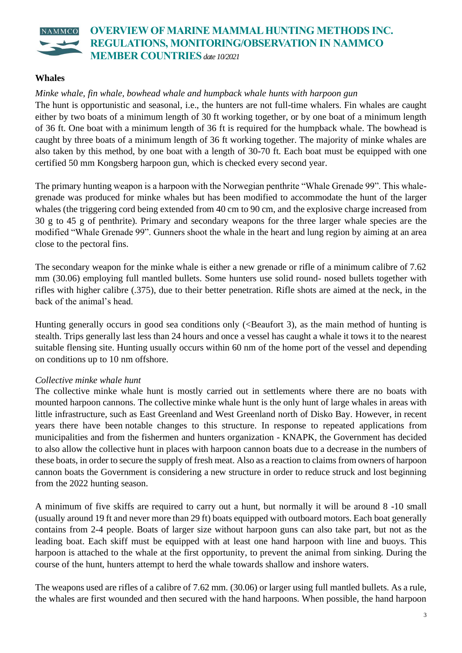

### **Whales**

#### *Minke whale, fin whale, bowhead whale and humpback whale hunts with harpoon gun*

The hunt is opportunistic and seasonal, i.e., the hunters are not full-time whalers. Fin whales are caught either by two boats of a minimum length of 30 ft working together, or by one boat of a minimum length of 36 ft. One boat with a minimum length of 36 ft is required for the humpback whale. The bowhead is caught by three boats of a minimum length of 36 ft working together. The majority of minke whales are also taken by this method, by one boat with a length of 30-70 ft. Each boat must be equipped with one certified 50 mm Kongsberg harpoon gun, which is checked every second year.

The primary hunting weapon is a harpoon with the Norwegian penthrite "Whale Grenade 99". This whalegrenade was produced for minke whales but has been modified to accommodate the hunt of the larger whales (the triggering cord being extended from 40 cm to 90 cm, and the explosive charge increased from 30 g to 45 g of penthrite). Primary and secondary weapons for the three larger whale species are the modified "Whale Grenade 99". Gunners shoot the whale in the heart and lung region by aiming at an area close to the pectoral fins.

The secondary weapon for the minke whale is either a new grenade or rifle of a minimum calibre of 7.62 mm (30.06) employing full mantled bullets. Some hunters use solid round- nosed bullets together with rifles with higher calibre (.375), due to their better penetration. Rifle shots are aimed at the neck, in the back of the animal's head.

Hunting generally occurs in good sea conditions only (<Beaufort 3), as the main method of hunting is stealth. Trips generally last less than 24 hours and once a vessel has caught a whale it tows it to the nearest suitable flensing site. Hunting usually occurs within 60 nm of the home port of the vessel and depending on conditions up to 10 nm offshore.

### *Collective minke whale hunt*

The collective minke whale hunt is mostly carried out in settlements where there are no boats with mounted harpoon cannons. The collective minke whale hunt is the only hunt of large whales in areas with little infrastructure, such as East Greenland and West Greenland north of Disko Bay. However, in recent years there have been notable changes to this structure. In response to repeated applications from municipalities and from the fishermen and hunters organization - KNAPK, the Government has decided to also allow the collective hunt in places with harpoon cannon boats due to a decrease in the numbers of these boats, in order to secure the supply of fresh meat. Also as a reaction to claims from owners of harpoon cannon boats the Government is considering a new structure in order to reduce struck and lost beginning from the 2022 hunting season.

A minimum of five skiffs are required to carry out a hunt, but normally it will be around 8 -10 small (usually around 19 ft and never more than 29 ft) boats equipped with outboard motors. Each boat generally contains from 2-4 people. Boats of larger size without harpoon guns can also take part, but not as the leading boat. Each skiff must be equipped with at least one hand harpoon with line and buoys. This harpoon is attached to the whale at the first opportunity, to prevent the animal from sinking. During the course of the hunt, hunters attempt to herd the whale towards shallow and inshore waters.

The weapons used are rifles of a calibre of 7.62 mm. (30.06) or larger using full mantled bullets. As a rule, the whales are first wounded and then secured with the hand harpoons. When possible, the hand harpoon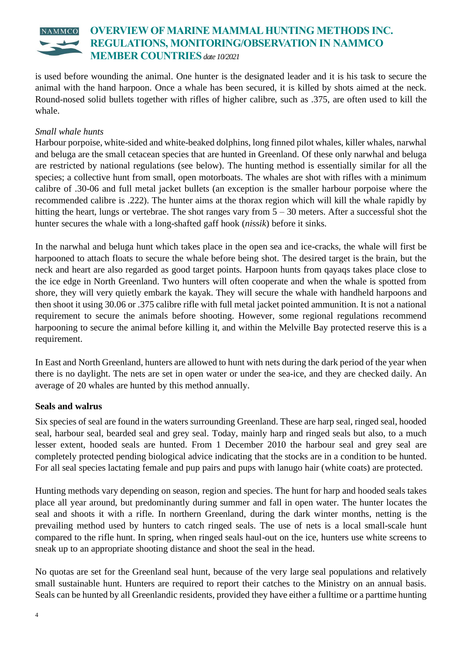#### **OVERVIEW OF MARINE MAMMAL HUNTING METHODS INC.**  NAMMCO **REGULATIONS, MONITORING/OBSERVATION IN NAMMCO MEMBER COUNTRIES***date 10/2021*

is used before wounding the animal. One hunter is the designated leader and it is his task to secure the animal with the hand harpoon. Once a whale has been secured, it is killed by shots aimed at the neck. Round-nosed solid bullets together with rifles of higher calibre, such as .375, are often used to kill the whale.

## *Small whale hunts*

Harbour porpoise, white-sided and white-beaked dolphins, long finned pilot whales, killer whales, narwhal and beluga are the small cetacean species that are hunted in Greenland. Of these only narwhal and beluga are restricted by national regulations (see below). The hunting method is essentially similar for all the species; a collective hunt from small, open motorboats. The whales are shot with rifles with a minimum calibre of .30-06 and full metal jacket bullets (an exception is the smaller harbour porpoise where the recommended calibre is .222). The hunter aims at the thorax region which will kill the whale rapidly by hitting the heart, lungs or vertebrae. The shot ranges vary from  $5 - 30$  meters. After a successful shot the hunter secures the whale with a long-shafted gaff hook (*ni*ss*ik*) before it sinks.

In the narwhal and beluga hunt which takes place in the open sea and ice-cracks, the whale will first be harpooned to attach floats to secure the whale before being shot. The desired target is the brain, but the neck and heart are also regarded as good target points. Harpoon hunts from qayaqs takes place close to the ice edge in North Greenland. Two hunters will often cooperate and when the whale is spotted from shore, they will very quietly embark the kayak. They will secure the whale with handheld harpoons and then shoot it using 30.06 or .375 calibre rifle with full metal jacket pointed ammunition. It is not a national requirement to secure the animals before shooting. However, some regional regulations recommend harpooning to secure the animal before killing it, and within the Melville Bay protected reserve this is a requirement.

In East and North Greenland, hunters are allowed to hunt with nets during the dark period of the year when there is no daylight. The nets are set in open water or under the sea-ice, and they are checked daily. An average of 20 whales are hunted by this method annually.

### **Seals and walrus**

Six species of seal are found in the waters surrounding Greenland. These are harp seal, ringed seal, hooded seal, harbour seal, bearded seal and grey seal. Today, mainly harp and ringed seals but also, to a much lesser extent, hooded seals are hunted. From 1 December 2010 the harbour seal and grey seal are completely protected pending biological advice indicating that the stocks are in a condition to be hunted. For all seal species lactating female and pup pairs and pups with lanugo hair (white coats) are protected.

Hunting methods vary depending on season, region and species. The hunt for harp and hooded seals takes place all year around, but predominantly during summer and fall in open water. The hunter locates the seal and shoots it with a rifle. In northern Greenland, during the dark winter months, netting is the prevailing method used by hunters to catch ringed seals. The use of nets is a local small-scale hunt compared to the rifle hunt. In spring, when ringed seals haul-out on the ice, hunters use white screens to sneak up to an appropriate shooting distance and shoot the seal in the head.

No quotas are set for the Greenland seal hunt, because of the very large seal populations and relatively small sustainable hunt. Hunters are required to report their catches to the Ministry on an annual basis. Seals can be hunted by all Greenlandic residents, provided they have either a fulltime or a parttime hunting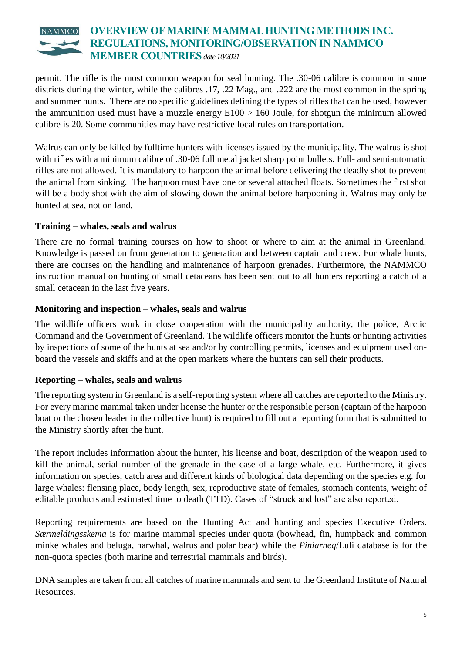#### **OVERVIEW OF MARINE MAMMAL HUNTING METHODS INC.**   $NAMMCO$ **REGULATIONS, MONITORING/OBSERVATION IN NAMMCO MEMBER COUNTRIES***date 10/2021*

permit. The rifle is the most common weapon for seal hunting. The .30-06 calibre is common in some districts during the winter, while the calibres .17, .22 Mag., and .222 are the most common in the spring and summer hunts. There are no specific guidelines defining the types of rifles that can be used, however the ammunition used must have a muzzle energy  $E100 > 160$  Joule, for shotgun the minimum allowed calibre is 20. Some communities may have restrictive local rules on transportation.

Walrus can only be killed by fulltime hunters with licenses issued by the municipality. The walrus is shot with rifles with a minimum calibre of .30-06 full metal jacket sharp point bullets. Full- and semiautomatic rifles are not allowed. It is mandatory to harpoon the animal before delivering the deadly shot to prevent the animal from sinking. The harpoon must have one or several attached floats. Sometimes the first shot will be a body shot with the aim of slowing down the animal before harpooning it. Walrus may only be hunted at sea, not on land.

## **Training – whales, seals and walrus**

There are no formal training courses on how to shoot or where to aim at the animal in Greenland. Knowledge is passed on from generation to generation and between captain and crew. For whale hunts, there are courses on the handling and maintenance of harpoon grenades. Furthermore, the NAMMCO instruction manual on hunting of small cetaceans has been sent out to all hunters reporting a catch of a small cetacean in the last five years.

### **Monitoring and inspection – whales, seals and walrus**

The wildlife officers work in close cooperation with the municipality authority, the police, Arctic Command and the Government of Greenland. The wildlife officers monitor the hunts or hunting activities by inspections of some of the hunts at sea and/or by controlling permits, licenses and equipment used onboard the vessels and skiffs and at the open markets where the hunters can sell their products.

# **Reporting – whales, seals and walrus**

The reporting system in Greenland is a self-reporting system where all catches are reported to the Ministry. For every marine mammal taken under license the hunter or the responsible person (captain of the harpoon boat or the chosen leader in the collective hunt) is required to fill out a reporting form that is submitted to the Ministry shortly after the hunt.

The report includes information about the hunter, his license and boat, description of the weapon used to kill the animal, serial number of the grenade in the case of a large whale, etc. Furthermore, it gives information on species, catch area and different kinds of biological data depending on the species e.g. for large whales: flensing place, body length, sex, reproductive state of females, stomach contents, weight of editable products and estimated time to death (TTD). Cases of "struck and lost" are also reported.

Reporting requirements are based on the Hunting Act and hunting and species Executive Orders. *Særmeldingsskema* is for marine mammal species under quota (bowhead, fin, humpback and common minke whales and beluga, narwhal, walrus and polar bear) while the *Piniarneq*/Luli database is for the non-quota species (both marine and terrestrial mammals and birds).

DNA samples are taken from all catches of marine mammals and sent to the Greenland Institute of Natural Resources.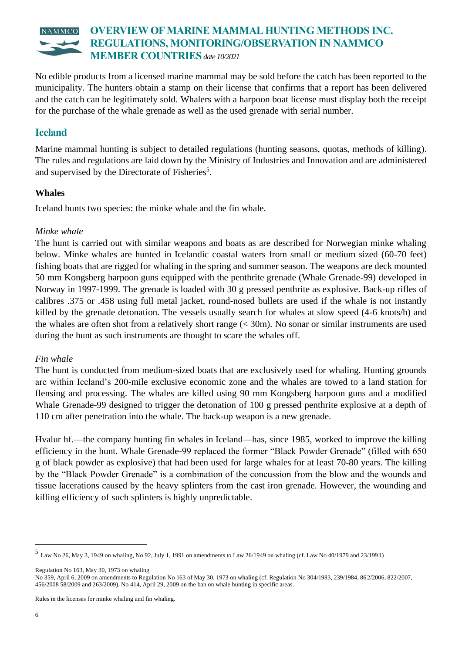# **OVERVIEW OF MARINE MAMMAL HUNTING METHODS INC. REGULATIONS, MONITORING/OBSERVATION IN NAMMCO MEMBER COUNTRIES***date 10/2021*

No edible products from a licensed marine mammal may be sold before the catch has been reported to the municipality. The hunters obtain a stamp on their license that confirms that a report has been delivered and the catch can be legitimately sold. Whalers with a harpoon boat license must display both the receipt for the purchase of the whale grenade as well as the used grenade with serial number.

# **Iceland**

Marine mammal hunting is subject to detailed regulations (hunting seasons, quotas, methods of killing). The rules and regulations are laid down by the Ministry of Industries and Innovation and are administered and supervised by the Directorate of Fisheries<sup>5</sup>.

## **Whales**

Iceland hunts two species: the minke whale and the fin whale.

### *Minke whale*

The hunt is carried out with similar weapons and boats as are described for Norwegian minke whaling below. Minke whales are hunted in Icelandic coastal waters from small or medium sized (60-70 feet) fishing boats that are rigged for whaling in the spring and summer season. The weapons are deck mounted 50 mm Kongsberg harpoon guns equipped with the penthrite grenade (Whale Grenade-99) developed in Norway in 1997-1999. The grenade is loaded with 30 g pressed penthrite as explosive. Back-up rifles of calibres .375 or .458 using full metal jacket, round-nosed bullets are used if the whale is not instantly killed by the grenade detonation. The vessels usually search for whales at slow speed (4-6 knots/h) and the whales are often shot from a relatively short range (< 30m). No sonar or similar instruments are used during the hunt as such instruments are thought to scare the whales off.

### *Fin whale*

The hunt is conducted from medium-sized boats that are exclusively used for whaling. Hunting grounds are within Iceland's 200-mile exclusive economic zone and the whales are towed to a land station for flensing and processing. The whales are killed using 90 mm Kongsberg harpoon guns and a modified Whale Grenade-99 designed to trigger the detonation of 100 g pressed penthrite explosive at a depth of 110 cm after penetration into the whale. The back-up weapon is a new grenade.

Hvalur hf.—the company hunting fin whales in Iceland—has, since 1985, worked to improve the killing efficiency in the hunt. Whale Grenade-99 replaced the former "Black Powder Grenade" (filled with 650 g of black powder as explosive) that had been used for large whales for at least 70-80 years. The killing by the "Black Powder Grenade" is a combination of the concussion from the blow and the wounds and tissue lacerations caused by the heavy splinters from the cast iron grenade. However, the wounding and killing efficiency of such splinters is highly unpredictable.

Regulation No 163, May 30, 1973 on whaling

Rules in the licenses for minke whaling and fin whaling.

<sup>5</sup> Law No 26, May 3, 1949 on whaling, No 92, July 1, 1991 on amendments to Law 26/1949 on whaling (cf. Law No 40/1979 and 23/199 1)

No 359, April 6, 2009 on amendments to Regulation No 163 of May 30, 1973 on whaling (cf. Regulation No 304/1983, 239/1984, 862/2006, 822/2007, 456/2008 58/2009 and 263/2009). No 414, April 29, 2009 on the ban on whale hunting in specific areas.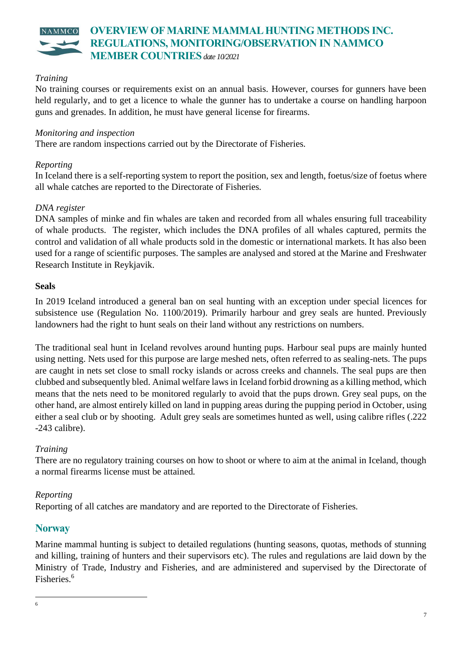

#### *Training*

No training courses or requirements exist on an annual basis. However, courses for gunners have been held regularly, and to get a licence to whale the gunner has to undertake a course on handling harpoon guns and grenades. In addition, he must have general license for firearms.

#### *Monitoring and inspection*

There are random inspections carried out by the Directorate of Fisheries.

#### *Reporting*

In Iceland there is a self-reporting system to report the position, sex and length, foetus/size of foetus where all whale catches are reported to the Directorate of Fisheries.

#### *DNA register*

DNA samples of minke and fin whales are taken and recorded from all whales ensuring full traceability of whale products. The register, which includes the DNA profiles of all whales captured, permits the control and validation of all whale products sold in the domestic or international markets. It has also been used for a range of scientific purposes. The samples are analysed and stored at the Marine and Freshwater Research Institute in Reykjavik.

#### **Seals**

In 2019 Iceland introduced a general ban on seal hunting with an exception under special licences for subsistence use (Regulation No. 1100/2019). Primarily harbour and grey seals are hunted. Previously landowners had the right to hunt seals on their land without any restrictions on numbers.

The traditional seal hunt in Iceland revolves around hunting pups. Harbour seal pups are mainly hunted using netting. Nets used for this purpose are large meshed nets, often referred to as sealing-nets. The pups are caught in nets set close to small rocky islands or across creeks and channels. The seal pups are then clubbed and subsequently bled. Animal welfare laws in Iceland forbid drowning as a killing method, which means that the nets need to be monitored regularly to avoid that the pups drown. Grey seal pups, on the other hand, are almost entirely killed on land in pupping areas during the pupping period in October, using either a seal club or by shooting. Adult grey seals are sometimes hunted as well, using calibre rifles (.222 -243 calibre).

#### *Training*

There are no regulatory training courses on how to shoot or where to aim at the animal in Iceland, though a normal firearms license must be attained.

#### *Reporting*

Reporting of all catches are mandatory and are reported to the Directorate of Fisheries.

### **Norway**

Marine mammal hunting is subject to detailed regulations (hunting seasons, quotas, methods of stunning and killing, training of hunters and their supervisors etc). The rules and regulations are laid down by the Ministry of Trade, Industry and Fisheries, and are administered and supervised by the Directorate of Fisheries.<sup>6</sup>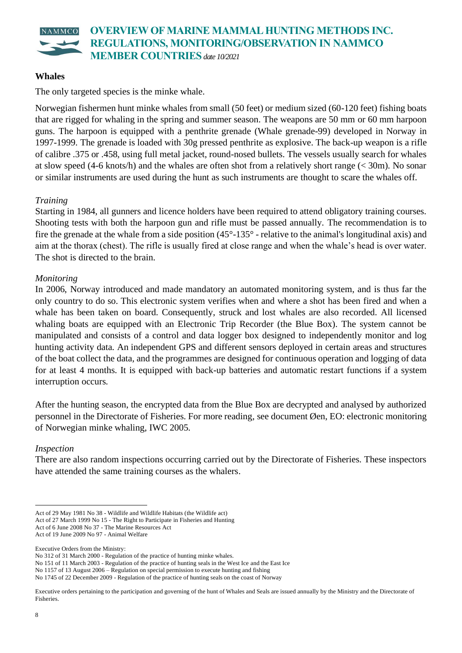

#### **Whales**

The only targeted species is the minke whale.

Norwegian fishermen hunt minke whales from small (50 feet) or medium sized (60-120 feet) fishing boats that are rigged for whaling in the spring and summer season. The weapons are 50 mm or 60 mm harpoon guns. The harpoon is equipped with a penthrite grenade (Whale grenade-99) developed in Norway in 1997-1999. The grenade is loaded with 30g pressed penthrite as explosive. The back-up weapon is a rifle of calibre .375 or .458, using full metal jacket, round-nosed bullets. The vessels usually search for whales at slow speed (4-6 knots/h) and the whales are often shot from a relatively short range (< 30m). No sonar or similar instruments are used during the hunt as such instruments are thought to scare the whales off.

#### *Training*

Starting in 1984, all gunners and licence holders have been required to attend obligatory training courses. Shooting tests with both the harpoon gun and rifle must be passed annually. The recommendation is to fire the grenade at the whale from a side position  $(45^{\circ} - 135^{\circ} -$  relative to the animal's longitudinal axis) and aim at the thorax (chest). The rifle is usually fired at close range and when the whale's head is over water. The shot is directed to the brain.

#### *Monitoring*

In 2006, Norway introduced and made mandatory an automated monitoring system, and is thus far the only country to do so. This electronic system verifies when and where a shot has been fired and when a whale has been taken on board. Consequently, struck and lost whales are also recorded. All licensed whaling boats are equipped with an Electronic Trip Recorder (the Blue Box). The system cannot be manipulated and consists of a control and data logger box designed to independently monitor and log hunting activity data. An independent GPS and different sensors deployed in certain areas and structures of the boat collect the data, and the programmes are designed for continuous operation and logging of data for at least 4 months. It is equipped with back-up batteries and automatic restart functions if a system interruption occurs.

After the hunting season, the encrypted data from the Blue Box are decrypted and analysed by authorized personnel in the Directorate of Fisheries. For more reading, see document Øen, EO: electronic monitoring of Norwegian minke whaling, IWC 2005.

#### *Inspection*

There are also random inspections occurring carried out by the Directorate of Fisheries. These inspectors have attended the same training courses as the whalers.

Executive Orders from the Ministry:

Act of 29 May 1981 No 38 - Wildlife and Wildlife Habitats (the Wildlife act)

Act of 27 March 1999 No 15 - The Right to Participate in Fisheries and Hunting

Act of 6 June 2008 No 37 - The Marine Resources Act

Act of 19 June 2009 No 97 - Animal Welfare

No 312 of 31 March 2000 - Regulation of the practice of hunting minke whales.

No 151 of 11 March 2003 - Regulation of the practice of hunting seals in the West Ice and the East Ice

No 1157 of 13 August 2006 – Regulation on special permission to execute hunting and fishing

No 1745 of 22 December 2009 - Regulation of the practice of hunting seals on the coast of Norway

Executive orders pertaining to the participation and governing of the hunt of Whales and Seals are issued annually by the Ministry and the Directorate of Fisheries.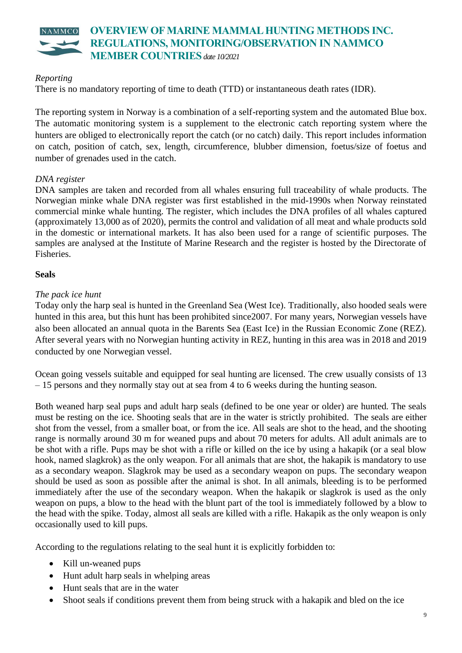

#### *Reporting*

There is no mandatory reporting of time to death (TTD) or instantaneous death rates (IDR).

The reporting system in Norway is a combination of a self-reporting system and the automated Blue box. The automatic monitoring system is a supplement to the electronic catch reporting system where the hunters are obliged to electronically report the catch (or no catch) daily. This report includes information on catch, position of catch, sex, length, circumference, blubber dimension, foetus/size of foetus and number of grenades used in the catch.

#### *DNA register*

DNA samples are taken and recorded from all whales ensuring full traceability of whale products. The Norwegian minke whale DNA register was first established in the mid-1990s when Norway reinstated commercial minke whale hunting. The register, which includes the DNA profiles of all whales captured (approximately 13,000 as of 2020), permits the control and validation of all meat and whale products sold in the domestic or international markets. It has also been used for a range of scientific purposes. The samples are analysed at the Institute of Marine Research and the register is hosted by the Directorate of Fisheries.

#### **Seals**

#### *The pack ice hunt*

Today only the harp seal is hunted in the Greenland Sea (West Ice). Traditionally, also hooded seals were hunted in this area, but this hunt has been prohibited since2007. For many years, Norwegian vessels have also been allocated an annual quota in the Barents Sea (East Ice) in the Russian Economic Zone (REZ). After several years with no Norwegian hunting activity in REZ, hunting in this area was in 2018 and 2019 conducted by one Norwegian vessel.

Ocean going vessels suitable and equipped for seal hunting are licensed. The crew usually consists of 13 – 15 persons and they normally stay out at sea from 4 to 6 weeks during the hunting season.

Both weaned harp seal pups and adult harp seals (defined to be one year or older) are hunted. The seals must be resting on the ice. Shooting seals that are in the water is strictly prohibited. The seals are either shot from the vessel, from a smaller boat, or from the ice. All seals are shot to the head, and the shooting range is normally around 30 m for weaned pups and about 70 meters for adults. All adult animals are to be shot with a rifle. Pups may be shot with a rifle or killed on the ice by using a hakapik (or a seal blow hook, named slagkrok) as the only weapon. For all animals that are shot, the hakapik is mandatory to use as a secondary weapon. Slagkrok may be used as a secondary weapon on pups. The secondary weapon should be used as soon as possible after the animal is shot. In all animals, bleeding is to be performed immediately after the use of the secondary weapon. When the hakapik or slagkrok is used as the only weapon on pups, a blow to the head with the blunt part of the tool is immediately followed by a blow to the head with the spike. Today, almost all seals are killed with a rifle. Hakapik as the only weapon is only occasionally used to kill pups.

According to the regulations relating to the seal hunt it is explicitly forbidden to:

- Kill un-weaned pups
- Hunt adult harp seals in whelping areas
- Hunt seals that are in the water
- Shoot seals if conditions prevent them from being struck with a hakapik and bled on the ice